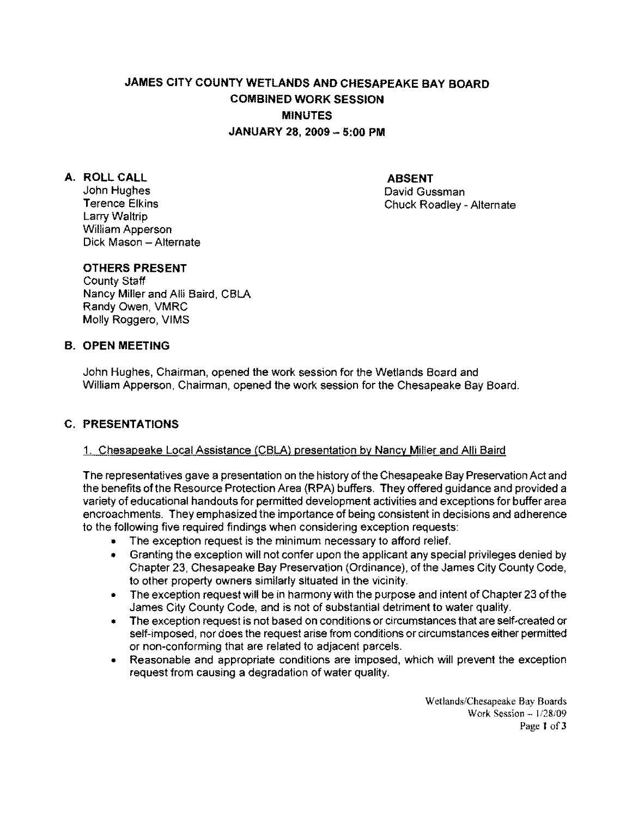# JAMES CITY COUNTY WETLANDS AND CHESAPEAKE BAY BOARD COMBINED WORK SESSION MINUTES JANUARY 28. 2009 - 5:00 PM

A. ROLL CALL ABSENT ABSENT AND ABSENT Larry Waltrip William Apperson Dick Mason - Alternate

David Gussman Terence Elkins **Chuck Roadley - Alternate** 

# OTHERS PRESENT

County Staff Nancy Miller and Alii Baird, CBLA Randy Owen, VMRC Molly Roggero, VIMS

# B. OPEN MEETING

John Hughes, Chairman, opened the work session for the Wetlands Board and William Apperson, Chairman, opened the worK session for the Chesapeake Bay Board.

# C. PRESENTATIONS

#### 1. Chesapeake Local Assistance (CBLA) presentation by Nancy Miller and Alii Baird

The representatives gave a presentation on the history of the Chesapeake Bay Preservation Act and the benefits of the Resource Protection Area (RPA) buffers, They offered guidance and provided a variety of educational handouts for permitted development activities and exceptions for buffer area encroachments. They emphasized the importance of being consistent in decisions and adherence to the following five required findings when considering exception requests:

- The exception request is the minimum necessary to afford relief.
- Granting the exception will not confer upon the applicant any special privileges denied by Chapter 23, Chesapeake Bay Preservation (Ordinance), of the James City County Code, to other property owners Similarly situated in the vicinity.
- The exception request will be in harmony with the purpose and intent of Chapter 23 of the James City County Code, and is not of substantial detriment to water quality.
- The exception request is not based on conditions or circumstances that are self-created or self-imposed, nor does the request arise from conditions or circumstances either permitted or non-conforming that are related to adjacent parcels.
- Reasonable and appropriate conditions are imposed, which will prevent the exception request from causing a degradation of water quality.

Wetlands/Chesapeake Bay Boards Work Session - 1/28/09 Page 1 of 3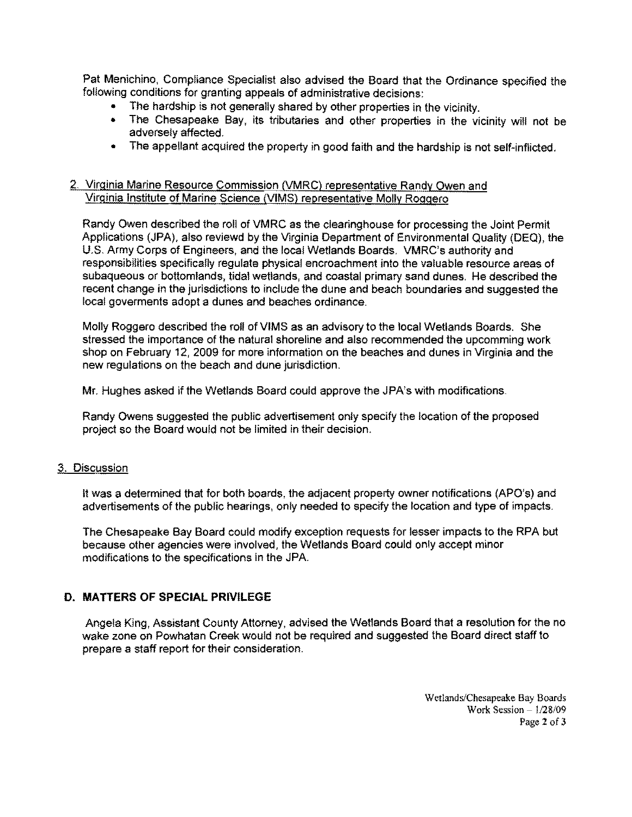Pat Menichino, Compliance Specialist also advised the Board that the Ordinance specified the following conditions for granting appeals of administrative decisions:

- The hardship is not generally shared by other properties in the vicinity.
- The Chesapeake Bay, its tributaries and other properties in the vicinity will not be adversely affected.
- The appellant acquired the property in good faith and the hardship is not self-inflicted.

### 2. Virginia Marine Resource Commission (VMRC) representative Randy Owen and Virginia Institute of Marine Science (VIMS} representative Molly Roggero

Randy Owen described the roll of VMRC as the clearinghouse for processing the Joint Permit Applications (JPA), also reviewd by the Virginia Department of Environmental Quality (DEQ), the U.S. Army Corps of Engineers, and the locel Wetlands Boards. VMRC's authority and responsibilities specifically regulate physical encroachment into the valuable resource areas of subaqueous or bottomlands, tidal wetlands, and coastal primary sand dunes. He described the recent change in the jurisdictions to include the dune and beach boundaries and suggested the local goverments adopt a dunes and beaches ordinance.

Molly Roggero described the roll of VIMS as an advisory to the local Wetlands Boards. She stressed the importance of the natural shoreline and also recommended the upcomming work shop on February 12, 2009 for more information on the beaches and dunes in Virginia and the new regulations on the beach and dune jurisdiction.

Mr. Hughes asked if the Wetlands Board could approve the JPA's with modifications.

Randy Owens suggested the public advertisement only specify the location of the proposed project so the Board would not be limited in their decision.

#### 3. Discussion

It was a determined that for both boards, the adjacent property owner notifications (APO's) and advertisements of the public hearings, only needed to specify the locetion and type of impacts.

The Chesapeake Bay Board could modify exception requests for lesser impacts to the RPA but because other agencies were involved, the Wetlands Board could only accept minor modifications to the specifications in the JPA.

#### D. **MATTERS OF SPECIAL PRIVILEGE**

Angela King, Assistant County Attorney, advised the Wetlands Board that a resolution for the no wake zone on Powhatan Creek would not be required and suggested the Board direct staff to prepare a staff report for their consideration.

> Wetlands/Chesapeake Bay Boards Work Session  $-1/28/09$ Page 2 of 3